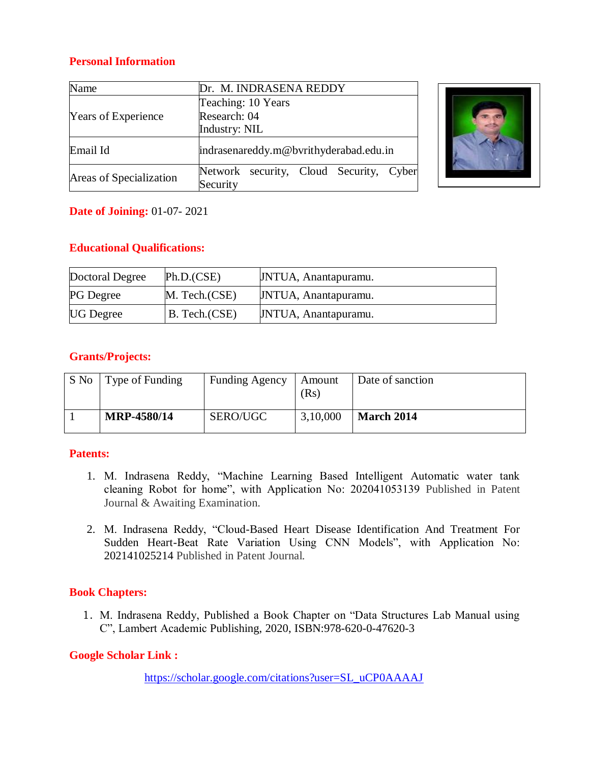# **Personal Information**

| Name                       | Dr. M. INDRASENA REDDY                              |  |  |  |  |
|----------------------------|-----------------------------------------------------|--|--|--|--|
| <b>Years of Experience</b> | Teaching: 10 Years<br>Research: 04<br>Industry: NIL |  |  |  |  |
| Email Id                   | indrasenareddy.m@bvrithyderabad.edu.in              |  |  |  |  |
| Areas of Specialization    | Network security, Cloud Security, Cyber<br>Security |  |  |  |  |



# **Date of Joining:** 01-07- 2021

# **Educational Qualifications:**

| Doctoral Degree  | Ph.D.(CSE)    | <b>JNTUA, Anantapuramu.</b> |
|------------------|---------------|-----------------------------|
| <b>PG</b> Degree | M. Tech.(CSE) | JNTUA, Anantapuramu.        |
| <b>UG</b> Degree | B. Tech.(CSE) | JNTUA, Anantapuramu.        |

# **Grants/Projects:**

| S No | Type of Funding    | <b>Funding Agency</b> | Amount<br>(Rs) | Date of sanction |
|------|--------------------|-----------------------|----------------|------------------|
|      | <b>MRP-4580/14</b> | SERO/UGC              | 3,10,000       | March 2014       |

# **Patents:**

- 1. M. Indrasena Reddy, "Machine Learning Based Intelligent Automatic water tank cleaning Robot for home", with Application No: 202041053139 Published in Patent Journal & Awaiting Examination.
- 2. M. Indrasena Reddy, "Cloud-Based Heart Disease Identification And Treatment For Sudden Heart-Beat Rate Variation Using CNN Models", with Application No: 202141025214 Published in Patent Journal.

# **Book Chapters:**

1. M. Indrasena Reddy, Published a Book Chapter on "Data Structures Lab Manual using C", Lambert Academic Publishing, 2020, ISBN:978-620-0-47620-3

# **Google Scholar Link :**

[https://scholar.google.com/citations?user=SL\\_uCP0AAAAJ](https://scholar.google.com/citations?user=SL_uCP0AAAAJ)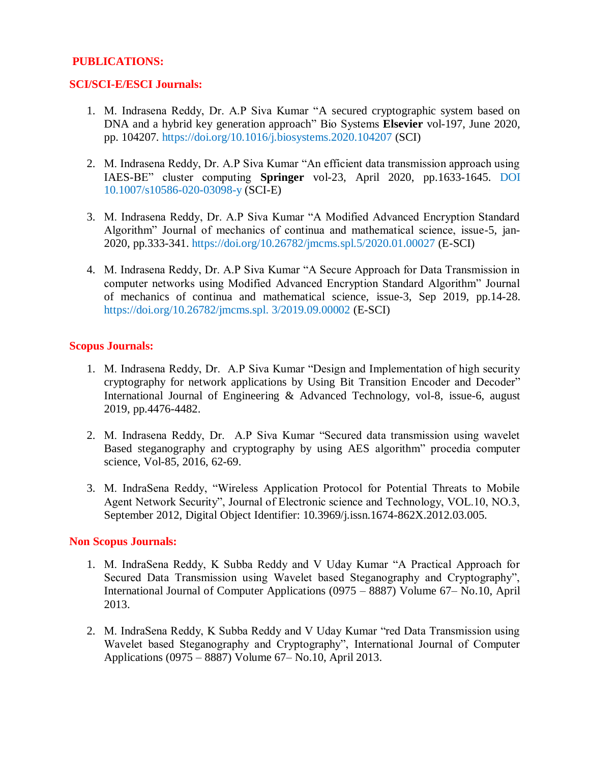### **PUBLICATIONS:**

### **SCI/SCI-E/ESCI Journals:**

- 1. M. Indrasena Reddy, Dr. A.P Siva Kumar ["A secured cryptographic system based on](javascript:void(0))  [DNA and a hybrid key generation approach"](javascript:void(0)) Bio Systems **Elsevier** vol-197, June 2020, pp. 104207. https://doi.org/10.1016/j.biosystems.2020.104207 (SCI)
- 2. M. Indrasena Reddy, Dr. A.P Siva Kumar "An efficient data transmission approach using IAES-BE" cluster computing **Springer** vol-23, April 2020, pp.1633-1645. DOI 10.1007/s10586-020-03098-y (SCI-E)
- 3. M. Indrasena Reddy, Dr. A.P Siva Kumar "A Modified Advanced Encryption Standard Algorithm" Journal of mechanics of continua and mathematical science, issue-5, jan-2020, pp.333-341. https://doi.org/10.26782/jmcms.spl.5/2020.01.00027 (E-SCI)
- 4. M. Indrasena Reddy, Dr. A.P Siva Kumar "A Secure Approach for Data Transmission in computer networks using Modified Advanced Encryption Standard Algorithm" Journal of mechanics of continua and mathematical science, issue-3, Sep 2019, pp.14-28. https://doi.org/10.26782/jmcms.spl. 3/2019.09.00002 (E-SCI)

### **Scopus Journals:**

- 1. M. Indrasena Reddy, Dr. A.P Siva Kumar "Design and Implementation of high security cryptography for network applications by Using Bit Transition Encoder and Decoder" International Journal of Engineering & Advanced Technology, vol-8, issue-6, august 2019, pp.4476-4482.
- 2. M. Indrasena Reddy, Dr. A.P Siva Kumar "Secured data transmission using wavelet Based steganography and cryptography by using AES algorithm" procedia computer science, Vol-85, 2016, 62-69.
- 3. M. IndraSena Reddy, "Wireless Application Protocol for Potential Threats to Mobile Agent Network Security", Journal of Electronic science and Technology, VOL.10, NO.3, September 2012, Digital Object Identifier: 10.3969/j.issn.1674-862X.2012.03.005.

### **Non Scopus Journals:**

- 1. M. IndraSena Reddy, K Subba Reddy and V Uday Kumar "A Practical Approach for Secured Data Transmission using Wavelet based Steganography and Cryptography", International Journal of Computer Applications (0975 – 8887) Volume 67– No.10, April 2013.
- 2. M. IndraSena Reddy, K Subba Reddy and V Uday Kumar "red Data Transmission using Wavelet based Steganography and Cryptography", International Journal of Computer Applications (0975 – 8887) Volume 67– No.10, April 2013.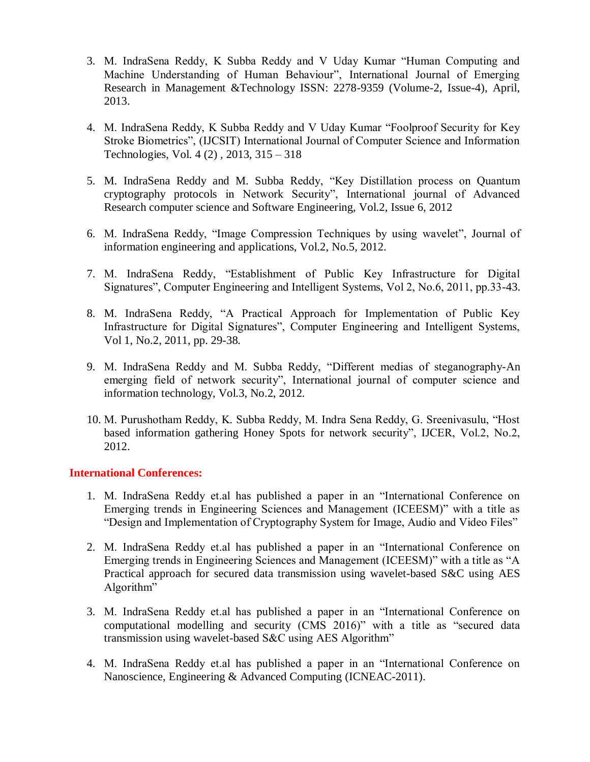- 3. M. IndraSena Reddy, K Subba Reddy and V Uday Kumar "Human Computing and Machine Understanding of Human Behaviour", International Journal of Emerging Research in Management &Technology ISSN: 2278-9359 (Volume-2, Issue-4), April, 2013.
- 4. M. IndraSena Reddy, K Subba Reddy and V Uday Kumar "Foolproof Security for Key Stroke Biometrics", (IJCSIT) International Journal of Computer Science and Information Technologies, Vol. 4 (2) , 2013, 315 – 318
- 5. M. IndraSena Reddy and M. Subba Reddy, "Key Distillation process on Quantum cryptography protocols in Network Security", International journal of Advanced Research computer science and Software Engineering, Vol.2, Issue 6, 2012
- 6. M. IndraSena Reddy, "Image Compression Techniques by using wavelet", Journal of information engineering and applications, Vol.2, No.5, 2012.
- 7. M. IndraSena Reddy, "Establishment of Public Key Infrastructure for Digital Signatures", Computer Engineering and Intelligent Systems, Vol 2, No.6, 2011, pp.33-43.
- 8. M. IndraSena Reddy, "A Practical Approach for Implementation of Public Key Infrastructure for Digital Signatures", Computer Engineering and Intelligent Systems, Vol 1, No.2, 2011, pp. 29-38.
- 9. M. IndraSena Reddy and M. Subba Reddy, "Different medias of steganography-An emerging field of network security", International journal of computer science and information technology, Vol.3, No.2, 2012.
- 10. M. Purushotham Reddy, K. Subba Reddy, M. Indra Sena Reddy, G. Sreenivasulu, "Host based information gathering Honey Spots for network security", IJCER, Vol.2, No.2, 2012.

### **International Conferences:**

- 1. M. IndraSena Reddy et.al has published a paper in an "International Conference on Emerging trends in Engineering Sciences and Management (ICEESM)" with a title as "Design and Implementation of Cryptography System for Image, Audio and Video Files"
- 2. M. IndraSena Reddy et.al has published a paper in an "International Conference on Emerging trends in Engineering Sciences and Management (ICEESM)" with a title as "A Practical approach for secured data transmission using wavelet-based S&C using AES Algorithm"
- 3. M. IndraSena Reddy et.al has published a paper in an "International Conference on computational modelling and security (CMS 2016)" with a title as "secured data transmission using wavelet-based S&C using AES Algorithm"
- 4. M. IndraSena Reddy et.al has published a paper in an "International Conference on Nanoscience, Engineering & Advanced Computing (ICNEAC-2011).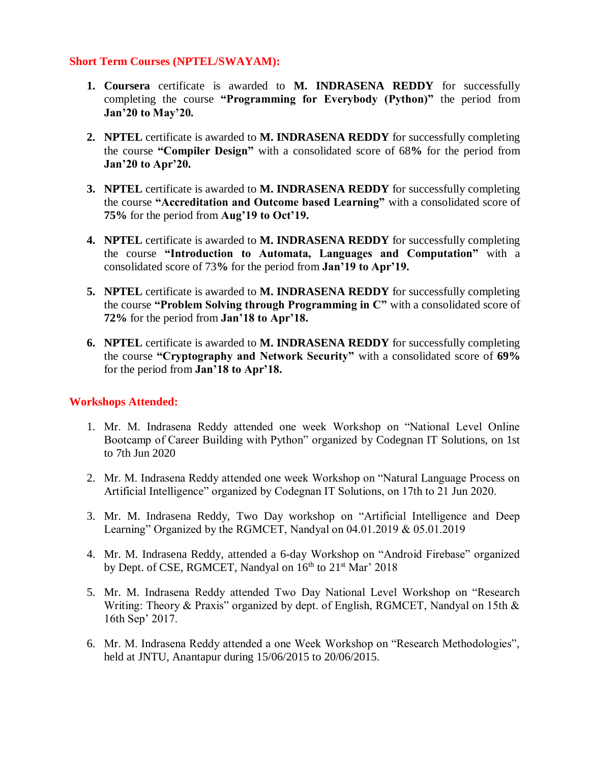### **Short Term Courses (NPTEL/SWAYAM):**

- **1. Coursera** certificate is awarded to **M. INDRASENA REDDY** for successfully completing the course **"Programming for Everybody (Python)"** the period from **Jan'20 to May'20.**
- **2. NPTEL** certificate is awarded to **M. INDRASENA REDDY** for successfully completing the course **"Compiler Design"** with a consolidated score of 68**%** for the period from **Jan'20 to Apr'20.**
- **3. NPTEL** certificate is awarded to **M. INDRASENA REDDY** for successfully completing the course **"Accreditation and Outcome based Learning"** with a consolidated score of **75%** for the period from **Aug'19 to Oct'19.**
- **4. NPTEL** certificate is awarded to **M. INDRASENA REDDY** for successfully completing the course **"Introduction to Automata, Languages and Computation"** with a consolidated score of 73**%** for the period from **Jan'19 to Apr'19.**
- **5. NPTEL** certificate is awarded to **M. INDRASENA REDDY** for successfully completing the course **"Problem Solving through Programming in C"** with a consolidated score of **72%** for the period from **Jan'18 to Apr'18.**
- **6. NPTEL** certificate is awarded to **M. INDRASENA REDDY** for successfully completing the course **"Cryptography and Network Security"** with a consolidated score of **69%** for the period from **Jan'18 to Apr'18.**

### **Workshops Attended:**

- 1. Mr. M. Indrasena Reddy attended one week Workshop on "National Level Online Bootcamp of Career Building with Python" organized by Codegnan IT Solutions, on 1st to 7th Jun 2020
- 2. Mr. M. Indrasena Reddy attended one week Workshop on "Natural Language Process on Artificial Intelligence" organized by Codegnan IT Solutions, on 17th to 21 Jun 2020.
- 3. Mr. M. Indrasena Reddy, Two Day workshop on "Artificial Intelligence and Deep Learning" Organized by the RGMCET, Nandyal on 04.01.2019 & 05.01.2019
- 4. Mr. M. Indrasena Reddy, attended a 6-day Workshop on "Android Firebase" organized by Dept. of CSE, RGMCET, Nandyal on  $16<sup>th</sup>$  to  $21<sup>st</sup>$  Mar' 2018
- 5. Mr. M. Indrasena Reddy attended Two Day National Level Workshop on "Research Writing: Theory & Praxis" organized by dept. of English, RGMCET, Nandyal on 15th & 16th Sep' 2017.
- 6. Mr. M. Indrasena Reddy attended a one Week Workshop on "Research Methodologies", held at JNTU, Anantapur during 15/06/2015 to 20/06/2015.